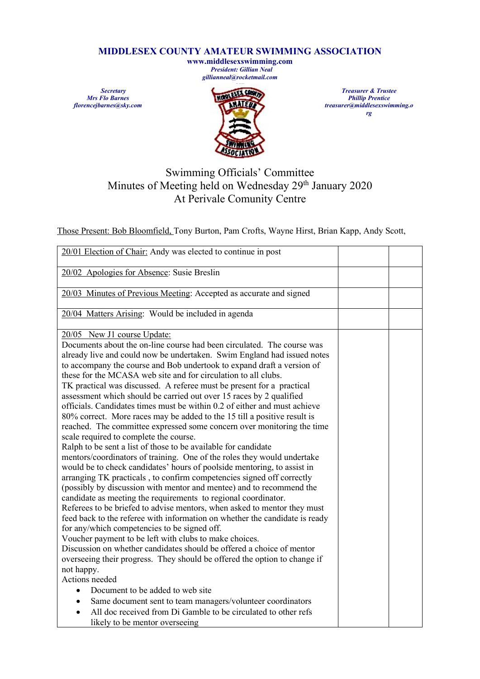## **MIDDLESEX COUNTY AMATEUR SWIMMING ASSOCIATION**

**www.middlesexswimming.com** *President: Gillian Neal gillianneal@rocketmail.com*

*Secretary Mrs Flo Barnes florencejbarnes@sky.com*



*Treasurer & Trustee Phillip Prentice treasurer@middlesexswimming.o rg*

## Swimming Officials' Committee Minutes of Meeting held on Wednesday 29<sup>th</sup> January 2020 At Perivale Comunity Centre

Those Present: Bob Bloomfield, Tony Burton, Pam Crofts, Wayne Hirst, Brian Kapp, Andy Scott,

| 20/01 Election of Chair: Andy was elected to continue in post                                                                                     |  |
|---------------------------------------------------------------------------------------------------------------------------------------------------|--|
| 20/02 Apologies for Absence: Susie Breslin                                                                                                        |  |
|                                                                                                                                                   |  |
| 20/03 Minutes of Previous Meeting: Accepted as accurate and signed                                                                                |  |
| 20/04 Matters Arising: Would be included in agenda                                                                                                |  |
|                                                                                                                                                   |  |
| 20/05 New J1 course Update:                                                                                                                       |  |
| Documents about the on-line course had been circulated. The course was<br>already live and could now be undertaken. Swim England had issued notes |  |
| to accompany the course and Bob undertook to expand draft a version of                                                                            |  |
| these for the MCASA web site and for circulation to all clubs.                                                                                    |  |
| TK practical was discussed. A referee must be present for a practical                                                                             |  |
| assessment which should be carried out over 15 races by 2 qualified                                                                               |  |
| officials. Candidates times must be within 0.2 of either and must achieve                                                                         |  |
| 80% correct. More races may be added to the 15 till a positive result is                                                                          |  |
| reached. The committee expressed some concern over monitoring the time                                                                            |  |
| scale required to complete the course.                                                                                                            |  |
| Ralph to be sent a list of those to be available for candidate                                                                                    |  |
| mentors/coordinators of training. One of the roles they would undertake                                                                           |  |
| would be to check candidates' hours of poolside mentoring, to assist in                                                                           |  |
| arranging TK practicals, to confirm competencies signed off correctly                                                                             |  |
| (possibly by discussion with mentor and mentee) and to recommend the                                                                              |  |
| candidate as meeting the requirements to regional coordinator.<br>Referees to be briefed to advise mentors, when asked to mentor they must        |  |
| feed back to the referee with information on whether the candidate is ready                                                                       |  |
| for any/which competencies to be signed off.                                                                                                      |  |
| Voucher payment to be left with clubs to make choices.                                                                                            |  |
| Discussion on whether candidates should be offered a choice of mentor                                                                             |  |
| overseeing their progress. They should be offered the option to change if                                                                         |  |
| not happy.                                                                                                                                        |  |
| Actions needed                                                                                                                                    |  |
| Document to be added to web site<br>$\bullet$                                                                                                     |  |
| Same document sent to team managers/volunteer coordinators<br>$\bullet$                                                                           |  |
| All doc received from Di Gamble to be circulated to other refs                                                                                    |  |
| likely to be mentor overseeing                                                                                                                    |  |